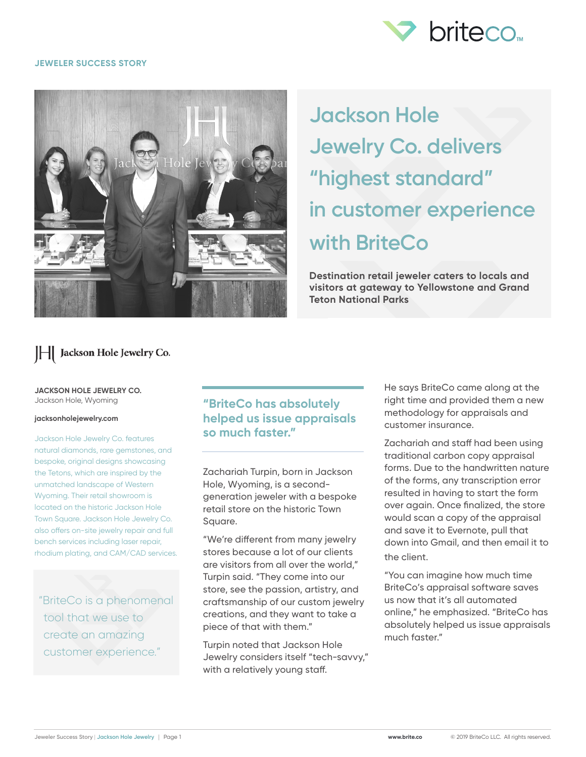

#### **JEWELER SUCCESS STORY**



# **Jackson Hole Jewelry Co. delivers "highest standard" in customer experience with BriteCo**

**Destination retail jeweler caters to locals and visitors at gateway to Yellowstone and Grand Teton National Parks**

## | | Jackson Hole Jewelry Co.

#### **JACKSON HOLE JEWELRY CO.** Jackson Hole, Wyoming

#### **jacksonholejewelry.com**

Jackson Hole Jewelry Co. features natural diamonds, rare gemstones, and bespoke, original designs showcasing the Tetons, which are inspired by the unmatched landscape of Western Wyoming. Their retail showroom is located on the historic Jackson Hole Town Square. Jackson Hole Jewelry Co. also offers on-site jewelry repair and full bench services including laser repair, rhodium plating, and CAM/CAD services.

"BriteCo is a phenomenal tool that we use to create an amazing customer experience."

## **"BriteCo has absolutely helped us issue appraisals so much faster."**

Zachariah Turpin, born in Jackson Hole, Wyoming, is a secondgeneration jeweler with a bespoke retail store on the historic Town Square.

"We're different from many jewelry stores because a lot of our clients are visitors from all over the world," Turpin said. "They come into our store, see the passion, artistry, and craftsmanship of our custom jewelry creations, and they want to take a piece of that with them."

Turpin noted that Jackson Hole Jewelry considers itself "tech-savvy," with a relatively young staff.

He says BriteCo came along at the right time and provided them a new methodology for appraisals and customer insurance.

Zachariah and staff had been using traditional carbon copy appraisal forms. Due to the handwritten nature of the forms, any transcription error resulted in having to start the form over again. Once finalized, the store would scan a copy of the appraisal and save it to Evernote, pull that down into Gmail, and then email it to the client.

"You can imagine how much time BriteCo's appraisal software saves us now that it's all automated online," he emphasized. "BriteCo has absolutely helped us issue appraisals much faster."